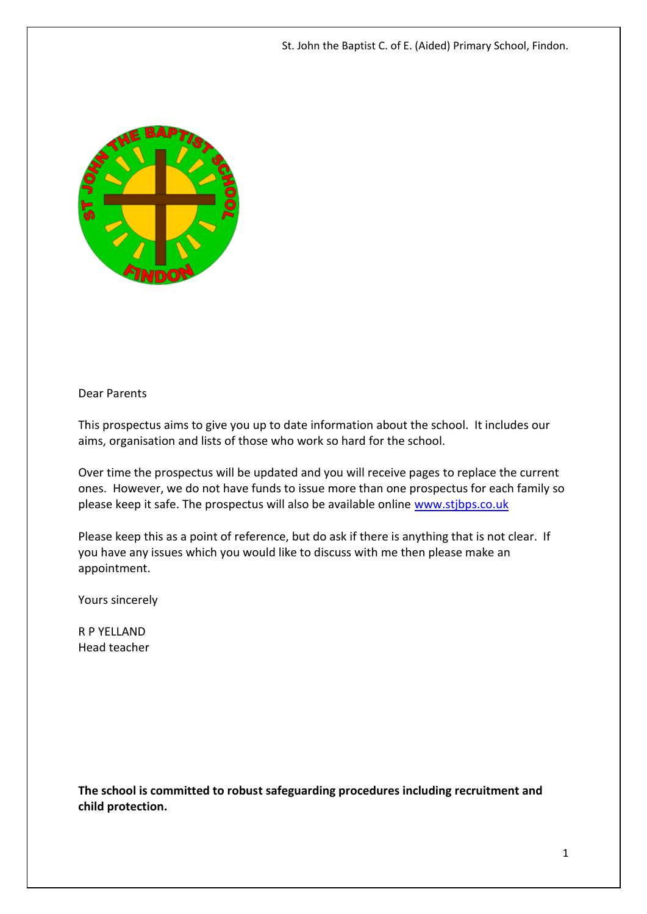St. John the Baptist C. of E. (Aided) Primary School, Findon.



#### Dear Parents

This prospectus aims to give you up to date information about the school. It includes our aims, organisation and lists of those who work so hard for the school.

Over time the prospectus will be updated and you will receive pages to replace the current ones. However, we do not have funds to issue more than one prospectus for each family so please keep it safe. The prospectus will also be available online [www.stjbps.co.uk](http://www.stjbps.co.uk/)

Please keep this as a point of reference, but do ask if there is anything that is not clear. If you have any issues which you would like to discuss with me then please make an appointment.

Yours sincerely

R P YELLAND Head teacher

**The school is committed to robust safeguarding procedures including recruitment and child protection.**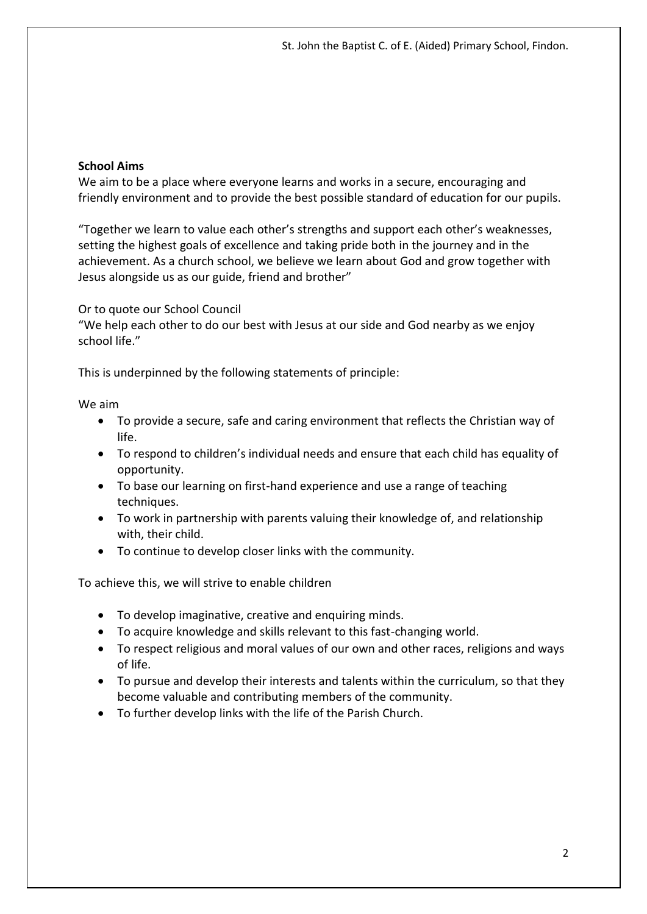## **School Aims**

We aim to be a place where everyone learns and works in a secure, encouraging and friendly environment and to provide the best possible standard of education for our pupils.

"Together we learn to value each other's strengths and support each other's weaknesses, setting the highest goals of excellence and taking pride both in the journey and in the achievement. As a church school, we believe we learn about God and grow together with Jesus alongside us as our guide, friend and brother"

Or to quote our School Council

"We help each other to do our best with Jesus at our side and God nearby as we enjoy school life."

This is underpinned by the following statements of principle:

We aim

- To provide a secure, safe and caring environment that reflects the Christian way of life.
- To respond to children's individual needs and ensure that each child has equality of opportunity.
- To base our learning on first-hand experience and use a range of teaching techniques.
- To work in partnership with parents valuing their knowledge of, and relationship with, their child.
- To continue to develop closer links with the community.

To achieve this, we will strive to enable children

- To develop imaginative, creative and enquiring minds.
- To acquire knowledge and skills relevant to this fast-changing world.
- To respect religious and moral values of our own and other races, religions and ways of life.
- To pursue and develop their interests and talents within the curriculum, so that they become valuable and contributing members of the community.
- To further develop links with the life of the Parish Church.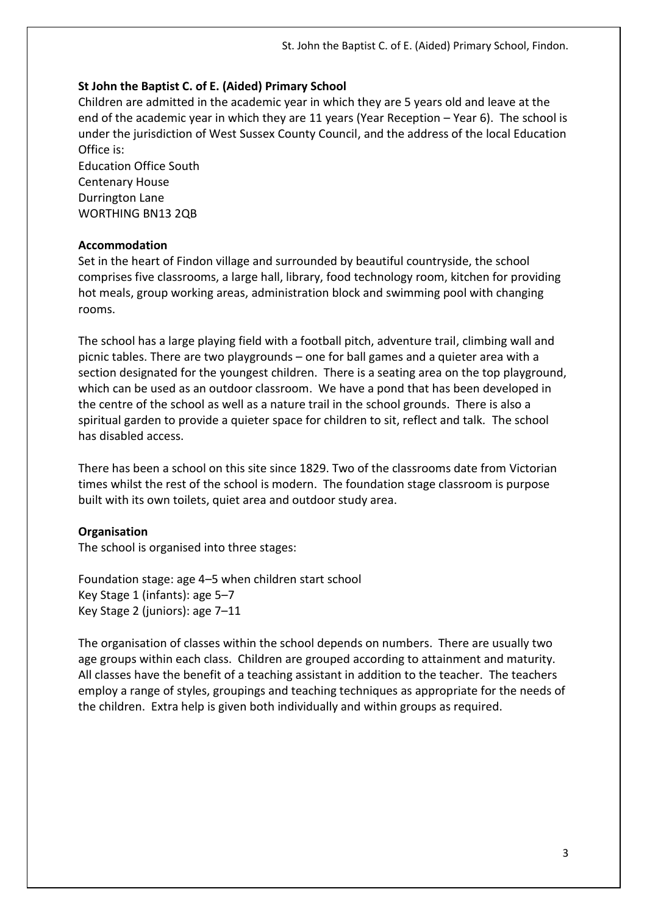## **St John the Baptist C. of E. (Aided) Primary School**

Children are admitted in the academic year in which they are 5 years old and leave at the end of the academic year in which they are 11 years (Year Reception – Year 6). The school is under the jurisdiction of West Sussex County Council, and the address of the local Education Office is:

Education Office South Centenary House Durrington Lane WORTHING BN13 2QB

#### **Accommodation**

Set in the heart of Findon village and surrounded by beautiful countryside, the school comprises five classrooms, a large hall, library, food technology room, kitchen for providing hot meals, group working areas, administration block and swimming pool with changing rooms.

The school has a large playing field with a football pitch, adventure trail, climbing wall and picnic tables. There are two playgrounds – one for ball games and a quieter area with a section designated for the youngest children. There is a seating area on the top playground, which can be used as an outdoor classroom. We have a pond that has been developed in the centre of the school as well as a nature trail in the school grounds. There is also a spiritual garden to provide a quieter space for children to sit, reflect and talk. The school has disabled access.

There has been a school on this site since 1829. Two of the classrooms date from Victorian times whilst the rest of the school is modern. The foundation stage classroom is purpose built with its own toilets, quiet area and outdoor study area.

## **Organisation**

The school is organised into three stages:

Foundation stage: age 4–5 when children start school Key Stage 1 (infants): age 5–7 Key Stage 2 (juniors): age 7–11

The organisation of classes within the school depends on numbers. There are usually two age groups within each class. Children are grouped according to attainment and maturity. All classes have the benefit of a teaching assistant in addition to the teacher. The teachers employ a range of styles, groupings and teaching techniques as appropriate for the needs of the children. Extra help is given both individually and within groups as required.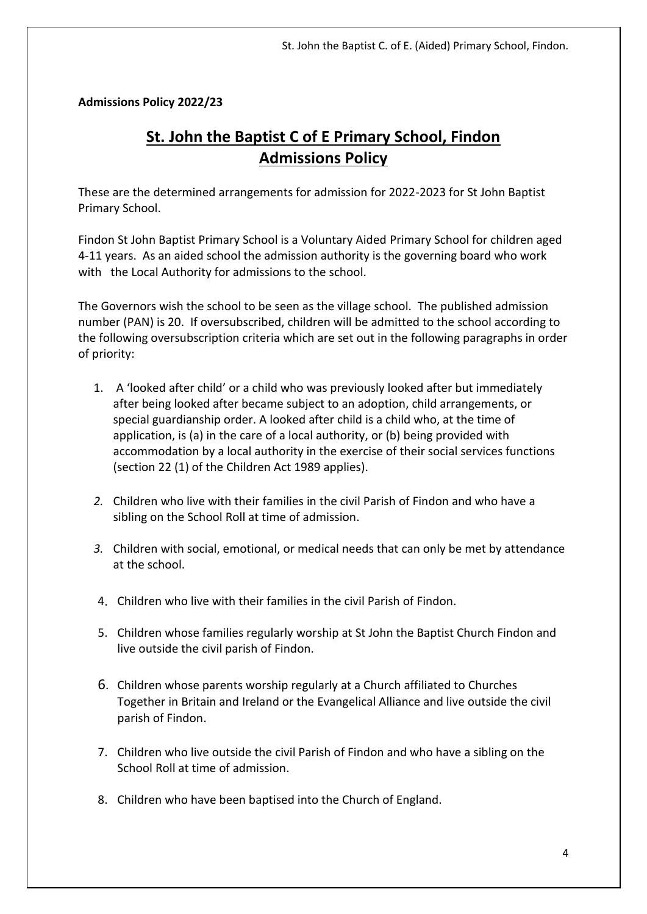**Admissions Policy 2022/23**

# **St. John the Baptist C of E Primary School, Findon Admissions Policy**

These are the determined arrangements for admission for 2022-2023 for St John Baptist Primary School.

Findon St John Baptist Primary School is a Voluntary Aided Primary School for children aged 4-11 years. As an aided school the admission authority is the governing board who work with the Local Authority for admissions to the school.

The Governors wish the school to be seen as the village school. The published admission number (PAN) is 20. If oversubscribed, children will be admitted to the school according to the following oversubscription criteria which are set out in the following paragraphs in order of priority:

- 1. A 'looked after child' or a child who was previously looked after but immediately after being looked after became subject to an adoption, child arrangements, or special guardianship order. A looked after child is a child who, at the time of application, is (a) in the care of a local authority, or (b) being provided with accommodation by a local authority in the exercise of their social services functions (section 22 (1) of the Children Act 1989 applies).
- *2.* Children who live with their families in the civil Parish of Findon and who have a sibling on the School Roll at time of admission.
- *3.* Children with social, emotional, or medical needs that can only be met by attendance at the school.
- 4. Children who live with their families in the civil Parish of Findon.
- 5. Children whose families regularly worship at St John the Baptist Church Findon and live outside the civil parish of Findon.
- 6. Children whose parents worship regularly at a Church affiliated to Churches Together in Britain and Ireland or the Evangelical Alliance and live outside the civil parish of Findon.
- 7. Children who live outside the civil Parish of Findon and who have a sibling on the School Roll at time of admission.
- 8. Children who have been baptised into the Church of England.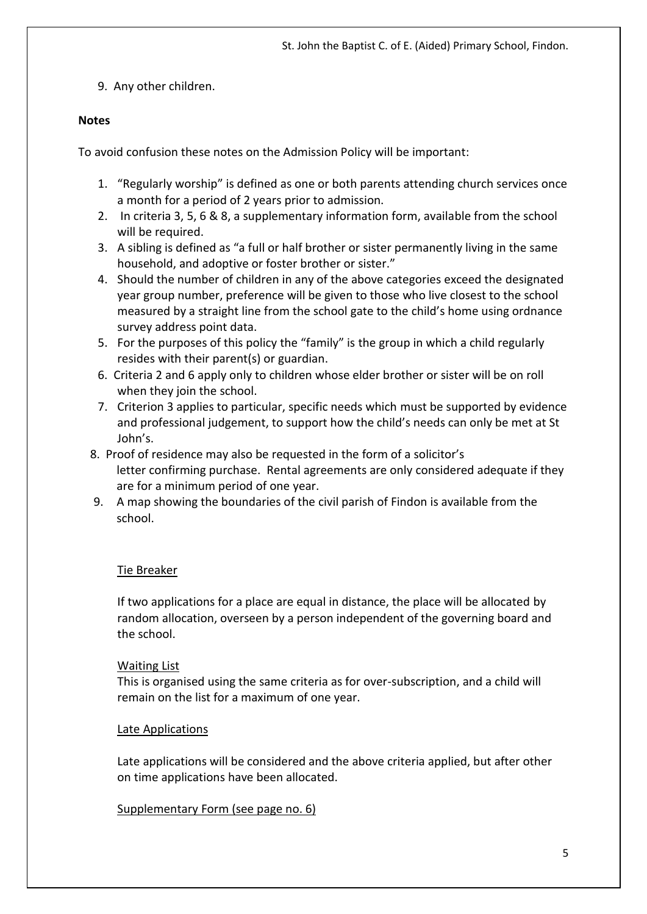9. Any other children.

## **Notes**

To avoid confusion these notes on the Admission Policy will be important:

- 1. "Regularly worship" is defined as one or both parents attending church services once a month for a period of 2 years prior to admission.
- 2. In criteria 3, 5, 6 & 8, a supplementary information form, available from the school will be required.
- 3. A sibling is defined as "a full or half brother or sister permanently living in the same household, and adoptive or foster brother or sister."
- 4. Should the number of children in any of the above categories exceed the designated year group number, preference will be given to those who live closest to the school measured by a straight line from the school gate to the child's home using ordnance survey address point data.
- 5. For the purposes of this policy the "family" is the group in which a child regularly resides with their parent(s) or guardian.
- 6. Criteria 2 and 6 apply only to children whose elder brother or sister will be on roll when they join the school.
- 7. Criterion 3 applies to particular, specific needs which must be supported by evidence and professional judgement, to support how the child's needs can only be met at St John's.
- 8. Proof of residence may also be requested in the form of a solicitor's letter confirming purchase. Rental agreements are only considered adequate if they are for a minimum period of one year.
- 9. A map showing the boundaries of the civil parish of Findon is available from the school.

# Tie Breaker

If two applications for a place are equal in distance, the place will be allocated by random allocation, overseen by a person independent of the governing board and the school.

## Waiting List

This is organised using the same criteria as for over-subscription, and a child will remain on the list for a maximum of one year.

## Late Applications

Late applications will be considered and the above criteria applied, but after other on time applications have been allocated.

## Supplementary Form (see page no. 6)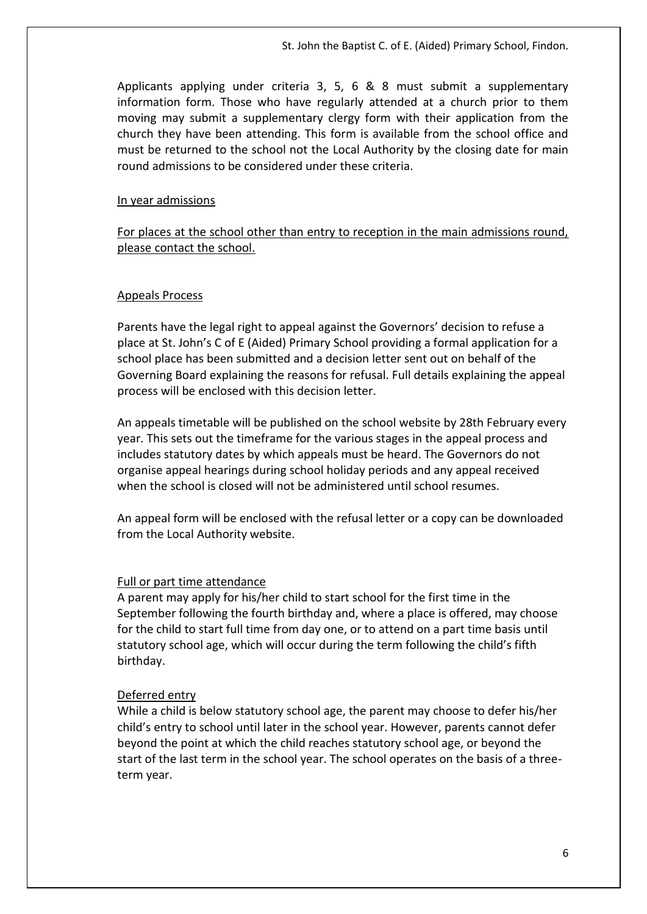Applicants applying under criteria 3, 5, 6 & 8 must submit a supplementary information form. Those who have regularly attended at a church prior to them moving may submit a supplementary clergy form with their application from the church they have been attending. This form is available from the school office and must be returned to the school not the Local Authority by the closing date for main round admissions to be considered under these criteria.

#### In year admissions

For places at the school other than entry to reception in the main admissions round, please contact the school.

#### Appeals Process

Parents have the legal right to appeal against the Governors' decision to refuse a place at St. John's C of E (Aided) Primary School providing a formal application for a school place has been submitted and a decision letter sent out on behalf of the Governing Board explaining the reasons for refusal. Full details explaining the appeal process will be enclosed with this decision letter.

An appeals timetable will be published on the school website by 28th February every year. This sets out the timeframe for the various stages in the appeal process and includes statutory dates by which appeals must be heard. The Governors do not organise appeal hearings during school holiday periods and any appeal received when the school is closed will not be administered until school resumes.

An appeal form will be enclosed with the refusal letter or a copy can be downloaded from the Local Authority website.

#### Full or part time attendance

A parent may apply for his/her child to start school for the first time in the September following the fourth birthday and, where a place is offered, may choose for the child to start full time from day one, or to attend on a part time basis until statutory school age, which will occur during the term following the child's fifth birthday.

#### Deferred entry

While a child is below statutory school age, the parent may choose to defer his/her child's entry to school until later in the school year. However, parents cannot defer beyond the point at which the child reaches statutory school age, or beyond the start of the last term in the school year. The school operates on the basis of a threeterm year.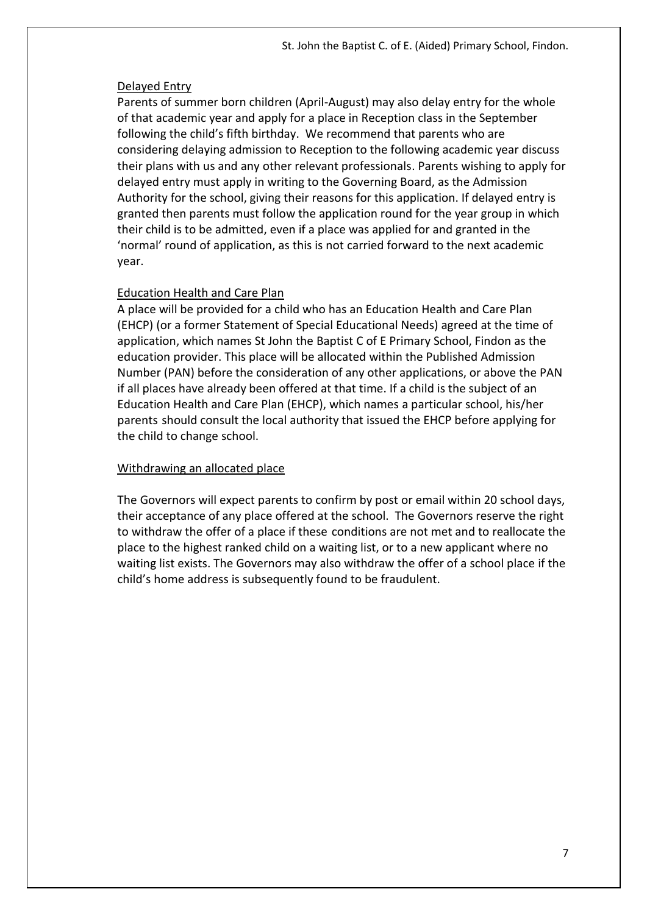#### Delayed Entry

Parents of summer born children (April-August) may also delay entry for the whole of that academic year and apply for a place in Reception class in the September following the child's fifth birthday. We recommend that parents who are considering delaying admission to Reception to the following academic year discuss their plans with us and any other relevant professionals. Parents wishing to apply for delayed entry must apply in writing to the Governing Board, as the Admission Authority for the school, giving their reasons for this application. If delayed entry is granted then parents must follow the application round for the year group in which their child is to be admitted, even if a place was applied for and granted in the 'normal' round of application, as this is not carried forward to the next academic year.

#### Education Health and Care Plan

A place will be provided for a child who has an Education Health and Care Plan (EHCP) (or a former Statement of Special Educational Needs) agreed at the time of application, which names St John the Baptist C of E Primary School, Findon as the education provider. This place will be allocated within the Published Admission Number (PAN) before the consideration of any other applications, or above the PAN if all places have already been offered at that time. If a child is the subject of an Education Health and Care Plan (EHCP), which names a particular school, his/her parents should consult the local authority that issued the EHCP before applying for the child to change school.

#### Withdrawing an allocated place

The Governors will expect parents to confirm by post or email within 20 school days, their acceptance of any place offered at the school. The Governors reserve the right to withdraw the offer of a place if these conditions are not met and to reallocate the place to the highest ranked child on a waiting list, or to a new applicant where no waiting list exists. The Governors may also withdraw the offer of a school place if the child's home address is subsequently found to be fraudulent.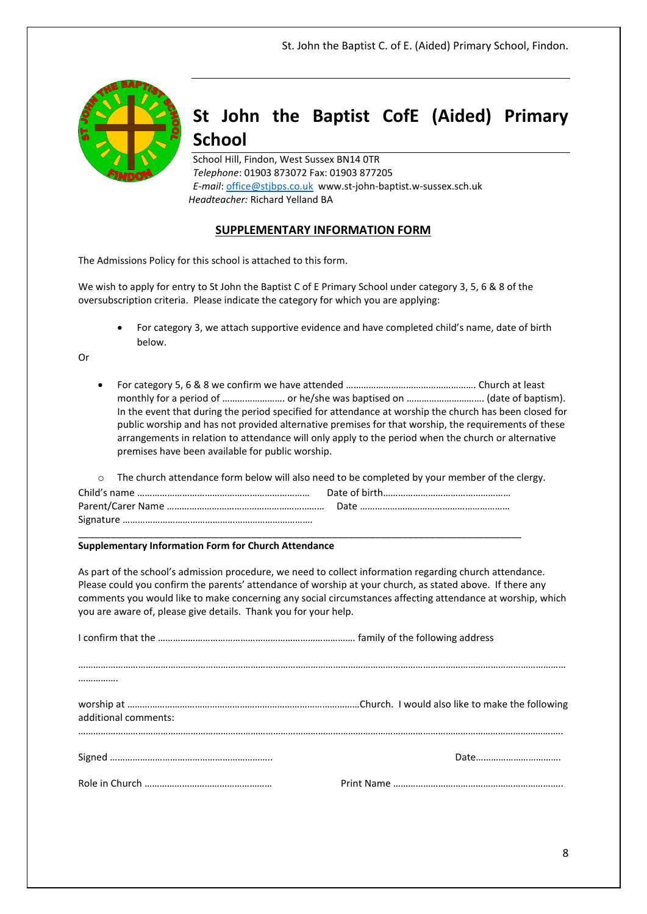

# **St John the Baptist CofE (Aided) Primary School**

School Hill, Findon, West Sussex BN14 0TR *Telephone*: 01903 873072 Fax: 01903 877205 *E-mail*: [office@stjbps.co.uk](mailto:office@stjbps.co.uk) www.st-john-baptist.w-sussex.sch.uk  *Headteacher:* Richard Yelland BA

#### **SUPPLEMENTARY INFORMATION FORM**

The Admissions Policy for this school is attached to this form.

We wish to apply for entry to St John the Baptist C of E Primary School under category 3, 5, 6 & 8 of the oversubscription criteria. Please indicate the category for which you are applying:

 For category 3, we attach supportive evidence and have completed child's name, date of birth below.

Or

 For category 5, 6 & 8 we confirm we have attended ……………………………………………. Church at least monthly for a period of ……………………. or he/she was baptised on …………………………. (date of baptism). In the event that during the period specified for attendance at worship the church has been closed for public worship and has not provided alternative premises for that worship, the requirements of these arrangements in relation to attendance will only apply to the period when the church or alternative premises have been available for public worship.

|  | $\circ$ The church attendance form below will also need to be completed by your member of the clergy. |
|--|-------------------------------------------------------------------------------------------------------|
|  |                                                                                                       |
|  |                                                                                                       |
|  |                                                                                                       |
|  |                                                                                                       |

#### **Supplementary Information Form for Church Attendance**

As part of the school's admission procedure, we need to collect information regarding church attendance. Please could you confirm the parents' attendance of worship at your church, as stated above. If there any comments you would like to make concerning any social circumstances affecting attendance at worship, which you are aware of, please give details. Thank you for your help.

| additional comments: |  |
|----------------------|--|
|                      |  |
|                      |  |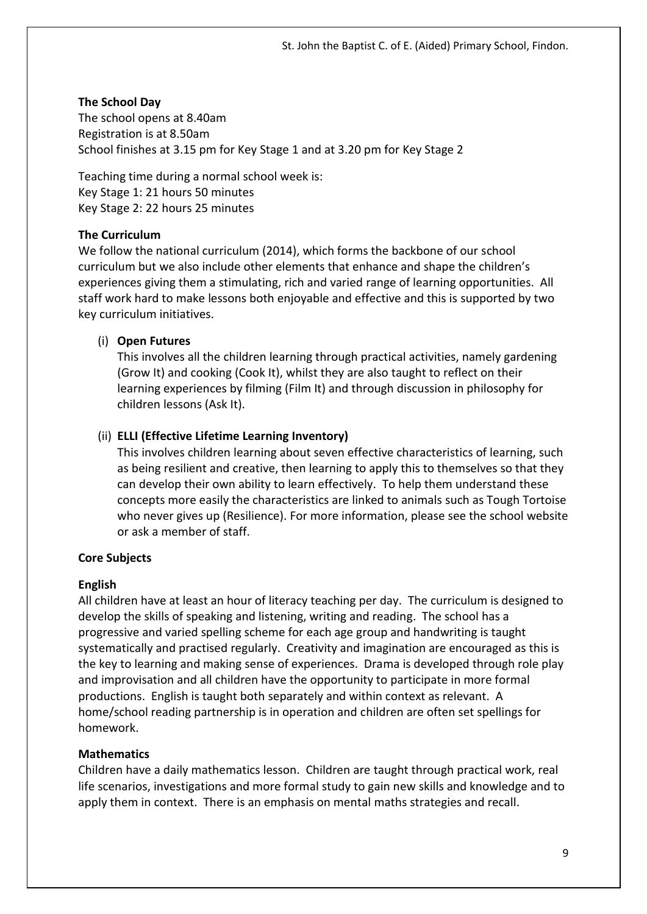#### **The School Day**

The school opens at 8.40am Registration is at 8.50am School finishes at 3.15 pm for Key Stage 1 and at 3.20 pm for Key Stage 2

Teaching time during a normal school week is: Key Stage 1: 21 hours 50 minutes Key Stage 2: 22 hours 25 minutes

#### **The Curriculum**

We follow the national curriculum (2014), which forms the backbone of our school curriculum but we also include other elements that enhance and shape the children's experiences giving them a stimulating, rich and varied range of learning opportunities. All staff work hard to make lessons both enjoyable and effective and this is supported by two key curriculum initiatives.

#### (i) **Open Futures**

This involves all the children learning through practical activities, namely gardening (Grow It) and cooking (Cook It), whilst they are also taught to reflect on their learning experiences by filming (Film It) and through discussion in philosophy for children lessons (Ask It).

#### (ii) **ELLI (Effective Lifetime Learning Inventory)**

This involves children learning about seven effective characteristics of learning, such as being resilient and creative, then learning to apply this to themselves so that they can develop their own ability to learn effectively. To help them understand these concepts more easily the characteristics are linked to animals such as Tough Tortoise who never gives up (Resilience). For more information, please see the school website or ask a member of staff.

## **Core Subjects**

#### **English**

All children have at least an hour of literacy teaching per day. The curriculum is designed to develop the skills of speaking and listening, writing and reading. The school has a progressive and varied spelling scheme for each age group and handwriting is taught systematically and practised regularly. Creativity and imagination are encouraged as this is the key to learning and making sense of experiences. Drama is developed through role play and improvisation and all children have the opportunity to participate in more formal productions. English is taught both separately and within context as relevant. A home/school reading partnership is in operation and children are often set spellings for homework.

## **Mathematics**

Children have a daily mathematics lesson. Children are taught through practical work, real life scenarios, investigations and more formal study to gain new skills and knowledge and to apply them in context. There is an emphasis on mental maths strategies and recall.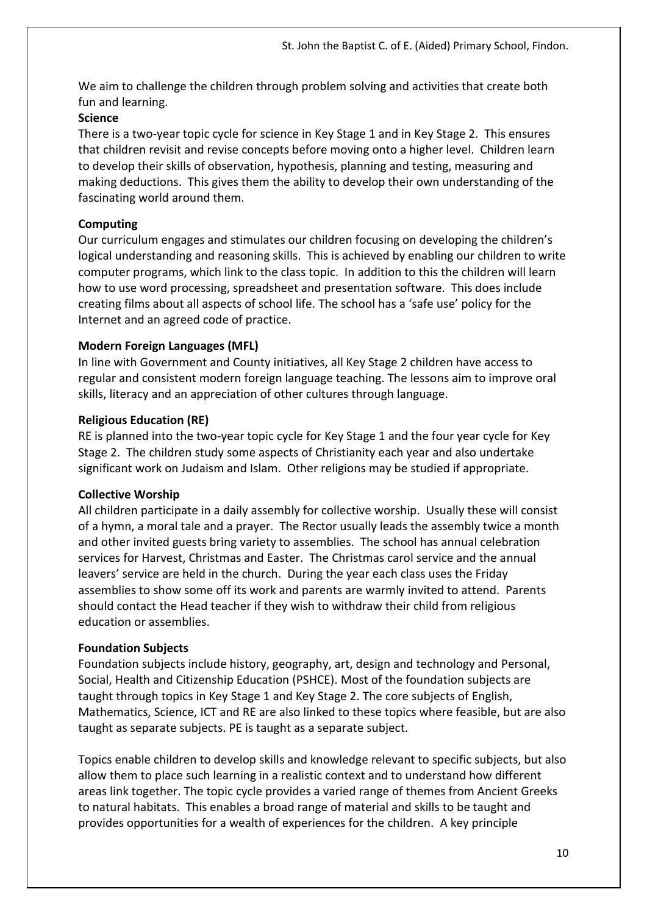We aim to challenge the children through problem solving and activities that create both fun and learning.

## **Science**

There is a two-year topic cycle for science in Key Stage 1 and in Key Stage 2. This ensures that children revisit and revise concepts before moving onto a higher level. Children learn to develop their skills of observation, hypothesis, planning and testing, measuring and making deductions. This gives them the ability to develop their own understanding of the fascinating world around them.

## **Computing**

Our curriculum engages and stimulates our children focusing on developing the children's logical understanding and reasoning skills. This is achieved by enabling our children to write computer programs, which link to the class topic. In addition to this the children will learn how to use word processing, spreadsheet and presentation software. This does include creating films about all aspects of school life. The school has a 'safe use' policy for the Internet and an agreed code of practice.

## **Modern Foreign Languages (MFL)**

In line with Government and County initiatives, all Key Stage 2 children have access to regular and consistent modern foreign language teaching. The lessons aim to improve oral skills, literacy and an appreciation of other cultures through language.

## **Religious Education (RE)**

RE is planned into the two-year topic cycle for Key Stage 1 and the four year cycle for Key Stage 2. The children study some aspects of Christianity each year and also undertake significant work on Judaism and Islam. Other religions may be studied if appropriate.

## **Collective Worship**

All children participate in a daily assembly for collective worship. Usually these will consist of a hymn, a moral tale and a prayer. The Rector usually leads the assembly twice a month and other invited guests bring variety to assemblies. The school has annual celebration services for Harvest, Christmas and Easter. The Christmas carol service and the annual leavers' service are held in the church. During the year each class uses the Friday assemblies to show some off its work and parents are warmly invited to attend. Parents should contact the Head teacher if they wish to withdraw their child from religious education or assemblies.

## **Foundation Subjects**

Foundation subjects include history, geography, art, design and technology and Personal, Social, Health and Citizenship Education (PSHCE). Most of the foundation subjects are taught through topics in Key Stage 1 and Key Stage 2. The core subjects of English, Mathematics, Science, ICT and RE are also linked to these topics where feasible, but are also taught as separate subjects. PE is taught as a separate subject.

Topics enable children to develop skills and knowledge relevant to specific subjects, but also allow them to place such learning in a realistic context and to understand how different areas link together. The topic cycle provides a varied range of themes from Ancient Greeks to natural habitats. This enables a broad range of material and skills to be taught and provides opportunities for a wealth of experiences for the children. A key principle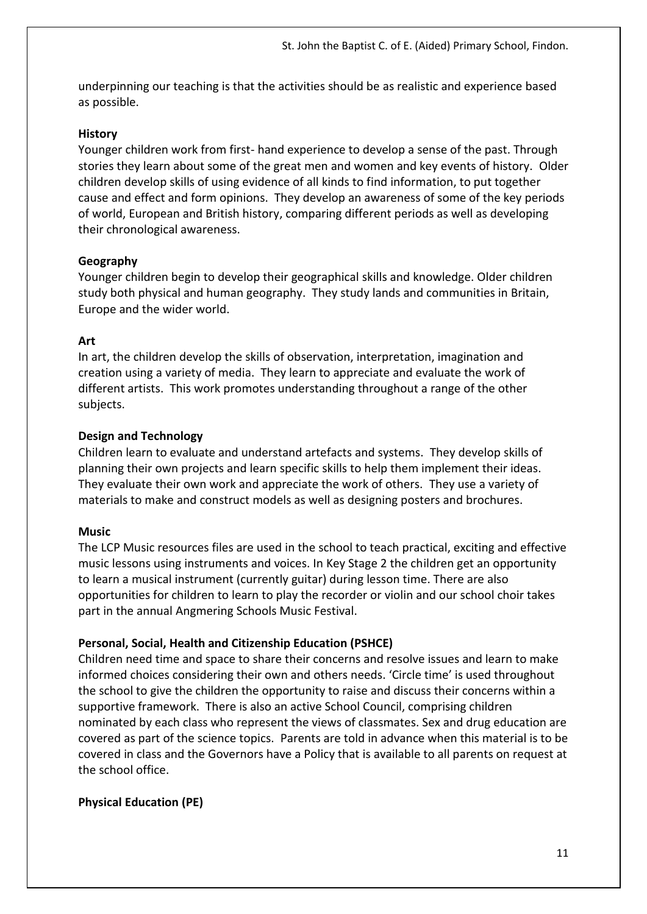underpinning our teaching is that the activities should be as realistic and experience based as possible.

#### **History**

Younger children work from first- hand experience to develop a sense of the past. Through stories they learn about some of the great men and women and key events of history. Older children develop skills of using evidence of all kinds to find information, to put together cause and effect and form opinions. They develop an awareness of some of the key periods of world, European and British history, comparing different periods as well as developing their chronological awareness.

#### **Geography**

Younger children begin to develop their geographical skills and knowledge. Older children study both physical and human geography. They study lands and communities in Britain, Europe and the wider world.

#### **Art**

In art, the children develop the skills of observation, interpretation, imagination and creation using a variety of media. They learn to appreciate and evaluate the work of different artists. This work promotes understanding throughout a range of the other subjects.

#### **Design and Technology**

Children learn to evaluate and understand artefacts and systems. They develop skills of planning their own projects and learn specific skills to help them implement their ideas. They evaluate their own work and appreciate the work of others. They use a variety of materials to make and construct models as well as designing posters and brochures.

## **Music**

The LCP Music resources files are used in the school to teach practical, exciting and effective music lessons using instruments and voices. In Key Stage 2 the children get an opportunity to learn a musical instrument (currently guitar) during lesson time. There are also opportunities for children to learn to play the recorder or violin and our school choir takes part in the annual Angmering Schools Music Festival.

## **Personal, Social, Health and Citizenship Education (PSHCE)**

Children need time and space to share their concerns and resolve issues and learn to make informed choices considering their own and others needs. 'Circle time' is used throughout the school to give the children the opportunity to raise and discuss their concerns within a supportive framework. There is also an active School Council, comprising children nominated by each class who represent the views of classmates. Sex and drug education are covered as part of the science topics. Parents are told in advance when this material is to be covered in class and the Governors have a Policy that is available to all parents on request at the school office.

## **Physical Education (PE)**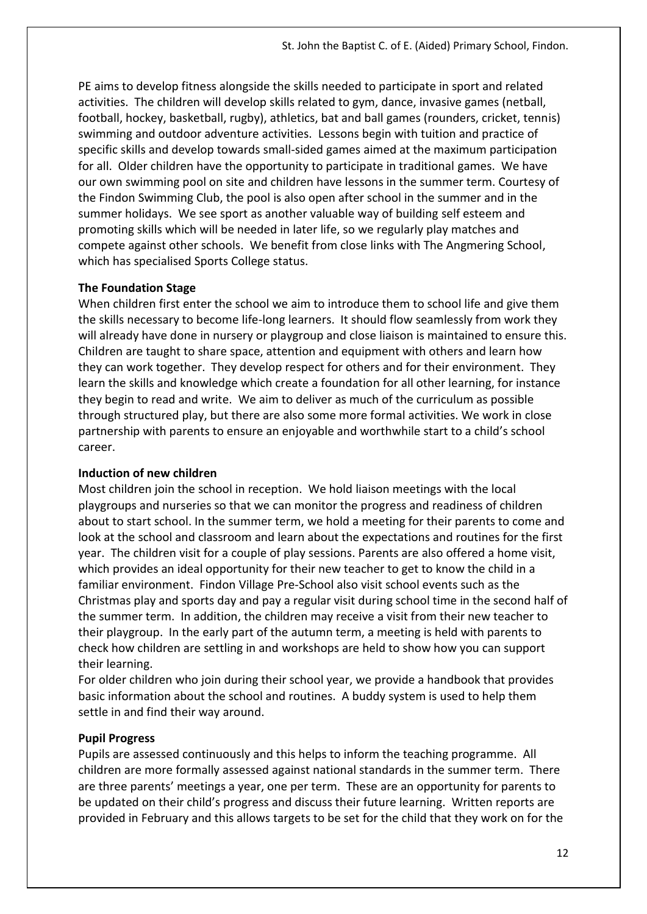PE aims to develop fitness alongside the skills needed to participate in sport and related activities. The children will develop skills related to gym, dance, invasive games (netball, football, hockey, basketball, rugby), athletics, bat and ball games (rounders, cricket, tennis) swimming and outdoor adventure activities. Lessons begin with tuition and practice of specific skills and develop towards small-sided games aimed at the maximum participation for all. Older children have the opportunity to participate in traditional games. We have our own swimming pool on site and children have lessons in the summer term. Courtesy of the Findon Swimming Club, the pool is also open after school in the summer and in the summer holidays. We see sport as another valuable way of building self esteem and promoting skills which will be needed in later life, so we regularly play matches and compete against other schools. We benefit from close links with The Angmering School, which has specialised Sports College status.

## **The Foundation Stage**

When children first enter the school we aim to introduce them to school life and give them the skills necessary to become life-long learners. It should flow seamlessly from work they will already have done in nursery or playgroup and close liaison is maintained to ensure this. Children are taught to share space, attention and equipment with others and learn how they can work together. They develop respect for others and for their environment. They learn the skills and knowledge which create a foundation for all other learning, for instance they begin to read and write. We aim to deliver as much of the curriculum as possible through structured play, but there are also some more formal activities. We work in close partnership with parents to ensure an enjoyable and worthwhile start to a child's school career.

## **Induction of new children**

Most children join the school in reception. We hold liaison meetings with the local playgroups and nurseries so that we can monitor the progress and readiness of children about to start school. In the summer term, we hold a meeting for their parents to come and look at the school and classroom and learn about the expectations and routines for the first year. The children visit for a couple of play sessions. Parents are also offered a home visit, which provides an ideal opportunity for their new teacher to get to know the child in a familiar environment. Findon Village Pre-School also visit school events such as the Christmas play and sports day and pay a regular visit during school time in the second half of the summer term. In addition, the children may receive a visit from their new teacher to their playgroup. In the early part of the autumn term, a meeting is held with parents to check how children are settling in and workshops are held to show how you can support their learning.

For older children who join during their school year, we provide a handbook that provides basic information about the school and routines. A buddy system is used to help them settle in and find their way around.

## **Pupil Progress**

Pupils are assessed continuously and this helps to inform the teaching programme. All children are more formally assessed against national standards in the summer term. There are three parents' meetings a year, one per term. These are an opportunity for parents to be updated on their child's progress and discuss their future learning. Written reports are provided in February and this allows targets to be set for the child that they work on for the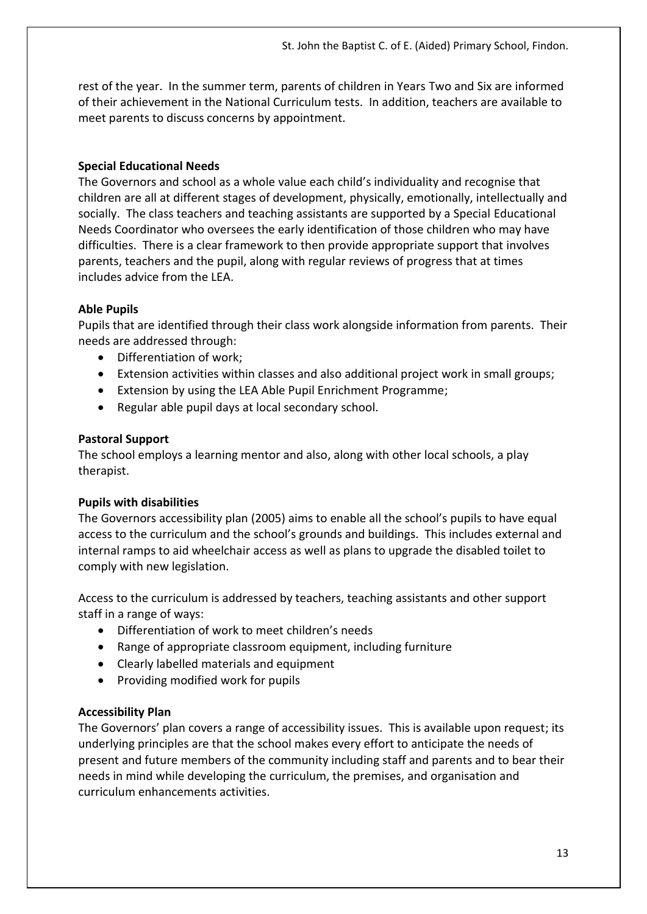rest of the year. In the summer term, parents of children in Years Two and Six are informed of their achievement in the National Curriculum tests. In addition, teachers are available to meet parents to discuss concerns by appointment.

## **Special Educational Needs**

The Governors and school as a whole value each child's individuality and recognise that children are all at different stages of development, physically, emotionally, intellectually and socially. The class teachers and teaching assistants are supported by a Special Educational Needs Coordinator who oversees the early identification of those children who may have difficulties. There is a clear framework to then provide appropriate support that involves parents, teachers and the pupil, along with regular reviews of progress that at times includes advice from the LEA.

## **Able Pupils**

Pupils that are identified through their class work alongside information from parents. Their needs are addressed through:

- Differentiation of work;
- Extension activities within classes and also additional project work in small groups;
- Extension by using the LEA Able Pupil Enrichment Programme;
- Regular able pupil days at local secondary school.

## **Pastoral Support**

The school employs a learning mentor and also, along with other local schools, a play therapist.

## **Pupils with disabilities**

The Governors accessibility plan (2005) aims to enable all the school's pupils to have equal access to the curriculum and the school's grounds and buildings. This includes external and internal ramps to aid wheelchair access as well as plans to upgrade the disabled toilet to comply with new legislation.

Access to the curriculum is addressed by teachers, teaching assistants and other support staff in a range of ways:

- Differentiation of work to meet children's needs
- Range of appropriate classroom equipment, including furniture
- Clearly labelled materials and equipment
- Providing modified work for pupils

## **Accessibility Plan**

The Governors' plan covers a range of accessibility issues. This is available upon request; its underlying principles are that the school makes every effort to anticipate the needs of present and future members of the community including staff and parents and to bear their needs in mind while developing the curriculum, the premises, and organisation and curriculum enhancements activities.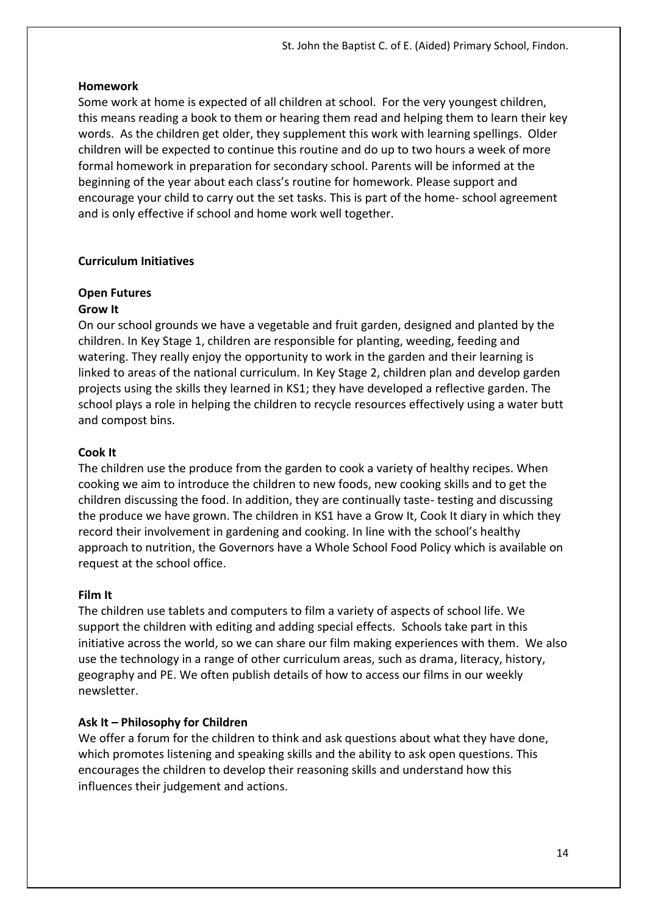#### **Homework**

Some work at home is expected of all children at school. For the very youngest children, this means reading a book to them or hearing them read and helping them to learn their key words. As the children get older, they supplement this work with learning spellings. Older children will be expected to continue this routine and do up to two hours a week of more formal homework in preparation for secondary school. Parents will be informed at the beginning of the year about each class's routine for homework. Please support and encourage your child to carry out the set tasks. This is part of the home- school agreement and is only effective if school and home work well together.

#### **Curriculum Initiatives**

#### **Open Futures**

#### **Grow It**

On our school grounds we have a vegetable and fruit garden, designed and planted by the children. In Key Stage 1, children are responsible for planting, weeding, feeding and watering. They really enjoy the opportunity to work in the garden and their learning is linked to areas of the national curriculum. In Key Stage 2, children plan and develop garden projects using the skills they learned in KS1; they have developed a reflective garden. The school plays a role in helping the children to recycle resources effectively using a water butt and compost bins.

#### **Cook It**

The children use the produce from the garden to cook a variety of healthy recipes. When cooking we aim to introduce the children to new foods, new cooking skills and to get the children discussing the food. In addition, they are continually taste- testing and discussing the produce we have grown. The children in KS1 have a Grow It, Cook It diary in which they record their involvement in gardening and cooking. In line with the school's healthy approach to nutrition, the Governors have a Whole School Food Policy which is available on request at the school office.

#### **Film It**

The children use tablets and computers to film a variety of aspects of school life. We support the children with editing and adding special effects. Schools take part in this initiative across the world, so we can share our film making experiences with them. We also use the technology in a range of other curriculum areas, such as drama, literacy, history, geography and PE. We often publish details of how to access our films in our weekly newsletter.

#### **Ask It – Philosophy for Children**

We offer a forum for the children to think and ask questions about what they have done, which promotes listening and speaking skills and the ability to ask open questions. This encourages the children to develop their reasoning skills and understand how this influences their judgement and actions.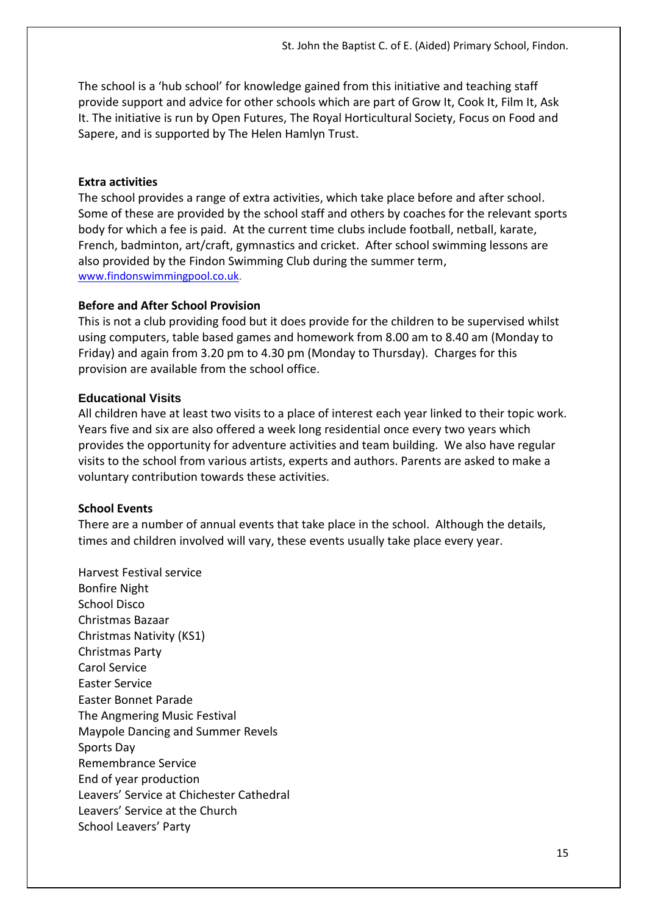The school is a 'hub school' for knowledge gained from this initiative and teaching staff provide support and advice for other schools which are part of Grow It, Cook It, Film It, Ask It. The initiative is run by Open Futures, The Royal Horticultural Society, Focus on Food and Sapere, and is supported by The Helen Hamlyn Trust.

#### **Extra activities**

The school provides a range of extra activities, which take place before and after school. Some of these are provided by the school staff and others by coaches for the relevant sports body for which a fee is paid. At the current time clubs include football, netball, karate, French, badminton, art/craft, gymnastics and cricket. After school swimming lessons are also provided by the Findon Swimming Club during the summer term, [www.findonswimmingpool.co.uk.](http://www.findonswimmingpool.co.uk/)

#### **Before and After School Provision**

This is not a club providing food but it does provide for the children to be supervised whilst using computers, table based games and homework from 8.00 am to 8.40 am (Monday to Friday) and again from 3.20 pm to 4.30 pm (Monday to Thursday). Charges for this provision are available from the school office.

#### **Educational Visits**

All children have at least two visits to a place of interest each year linked to their topic work. Years five and six are also offered a week long residential once every two years which provides the opportunity for adventure activities and team building. We also have regular visits to the school from various artists, experts and authors. Parents are asked to make a voluntary contribution towards these activities.

#### **School Events**

There are a number of annual events that take place in the school. Although the details, times and children involved will vary, these events usually take place every year.

Harvest Festival service Bonfire Night School Disco Christmas Bazaar Christmas Nativity (KS1) Christmas Party Carol Service Easter Service Easter Bonnet Parade The Angmering Music Festival Maypole Dancing and Summer Revels Sports Day Remembrance Service End of year production Leavers' Service at Chichester Cathedral Leavers' Service at the Church School Leavers' Party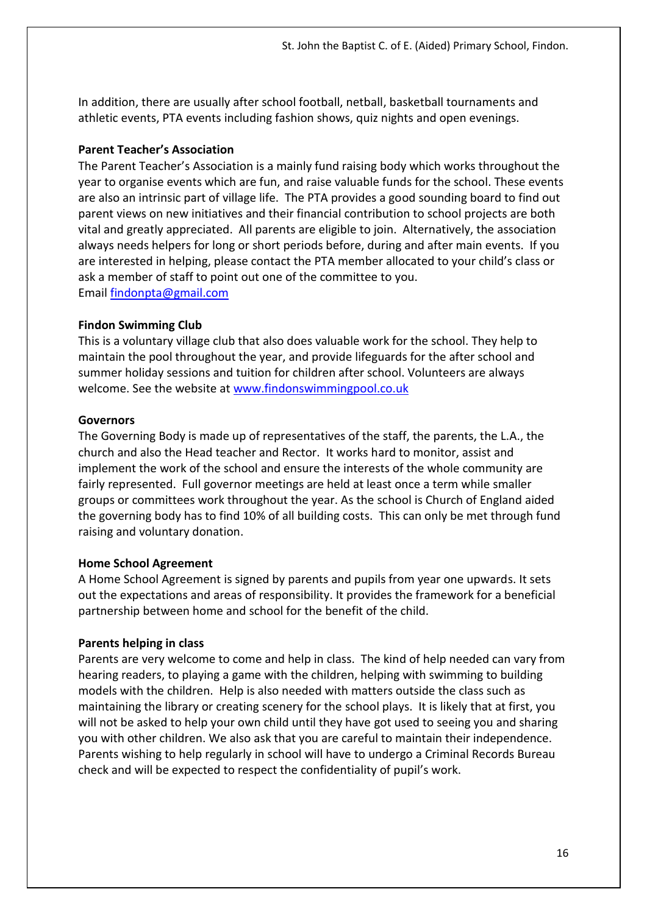In addition, there are usually after school football, netball, basketball tournaments and athletic events, PTA events including fashion shows, quiz nights and open evenings.

## **Parent Teacher's Association**

The Parent Teacher's Association is a mainly fund raising body which works throughout the year to organise events which are fun, and raise valuable funds for the school. These events are also an intrinsic part of village life. The PTA provides a good sounding board to find out parent views on new initiatives and their financial contribution to school projects are both vital and greatly appreciated. All parents are eligible to join. Alternatively, the association always needs helpers for long or short periods before, during and after main events. If you are interested in helping, please contact the PTA member allocated to your child's class or ask a member of staff to point out one of the committee to you. Email [findonpta@gmail.com](mailto:findonpta@gmail.com)

## **Findon Swimming Club**

This is a voluntary village club that also does valuable work for the school. They help to maintain the pool throughout the year, and provide lifeguards for the after school and summer holiday sessions and tuition for children after school. Volunteers are always welcome. See the website at [www.findonswimmingpool.co.uk](http://www.findonswimmingpool.co.uk/) 

## **Governors**

The Governing Body is made up of representatives of the staff, the parents, the L.A., the church and also the Head teacher and Rector. It works hard to monitor, assist and implement the work of the school and ensure the interests of the whole community are fairly represented. Full governor meetings are held at least once a term while smaller groups or committees work throughout the year. As the school is Church of England aided the governing body has to find 10% of all building costs. This can only be met through fund raising and voluntary donation.

# **Home School Agreement**

A Home School Agreement is signed by parents and pupils from year one upwards. It sets out the expectations and areas of responsibility. It provides the framework for a beneficial partnership between home and school for the benefit of the child.

# **Parents helping in class**

Parents are very welcome to come and help in class. The kind of help needed can vary from hearing readers, to playing a game with the children, helping with swimming to building models with the children. Help is also needed with matters outside the class such as maintaining the library or creating scenery for the school plays. It is likely that at first, you will not be asked to help your own child until they have got used to seeing you and sharing you with other children. We also ask that you are careful to maintain their independence. Parents wishing to help regularly in school will have to undergo a Criminal Records Bureau check and will be expected to respect the confidentiality of pupil's work.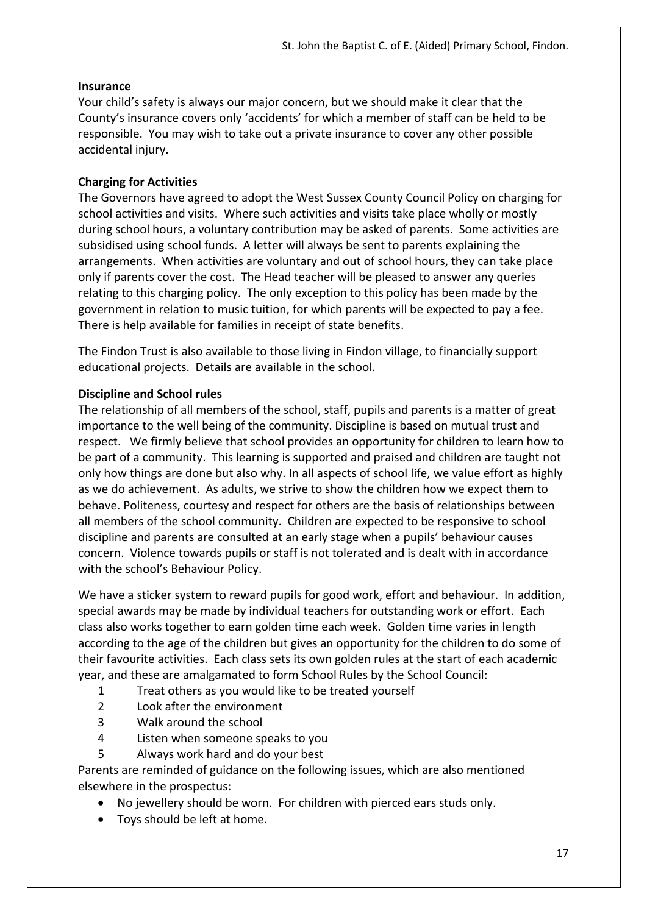#### **Insurance**

Your child's safety is always our major concern, but we should make it clear that the County's insurance covers only 'accidents' for which a member of staff can be held to be responsible. You may wish to take out a private insurance to cover any other possible accidental injury.

## **Charging for Activities**

The Governors have agreed to adopt the West Sussex County Council Policy on charging for school activities and visits. Where such activities and visits take place wholly or mostly during school hours, a voluntary contribution may be asked of parents. Some activities are subsidised using school funds. A letter will always be sent to parents explaining the arrangements. When activities are voluntary and out of school hours, they can take place only if parents cover the cost. The Head teacher will be pleased to answer any queries relating to this charging policy. The only exception to this policy has been made by the government in relation to music tuition, for which parents will be expected to pay a fee. There is help available for families in receipt of state benefits.

The Findon Trust is also available to those living in Findon village, to financially support educational projects. Details are available in the school.

## **Discipline and School rules**

The relationship of all members of the school, staff, pupils and parents is a matter of great importance to the well being of the community. Discipline is based on mutual trust and respect. We firmly believe that school provides an opportunity for children to learn how to be part of a community. This learning is supported and praised and children are taught not only how things are done but also why. In all aspects of school life, we value effort as highly as we do achievement. As adults, we strive to show the children how we expect them to behave. Politeness, courtesy and respect for others are the basis of relationships between all members of the school community. Children are expected to be responsive to school discipline and parents are consulted at an early stage when a pupils' behaviour causes concern. Violence towards pupils or staff is not tolerated and is dealt with in accordance with the school's Behaviour Policy.

We have a sticker system to reward pupils for good work, effort and behaviour. In addition, special awards may be made by individual teachers for outstanding work or effort. Each class also works together to earn golden time each week. Golden time varies in length according to the age of the children but gives an opportunity for the children to do some of their favourite activities. Each class sets its own golden rules at the start of each academic year, and these are amalgamated to form School Rules by the School Council:

- 1 Treat others as you would like to be treated yourself
- 2 Look after the environment
- 3 Walk around the school
- 4 Listen when someone speaks to you
- 5 Always work hard and do your best

Parents are reminded of guidance on the following issues, which are also mentioned elsewhere in the prospectus:

- No jewellery should be worn. For children with pierced ears studs only.
- Toys should be left at home.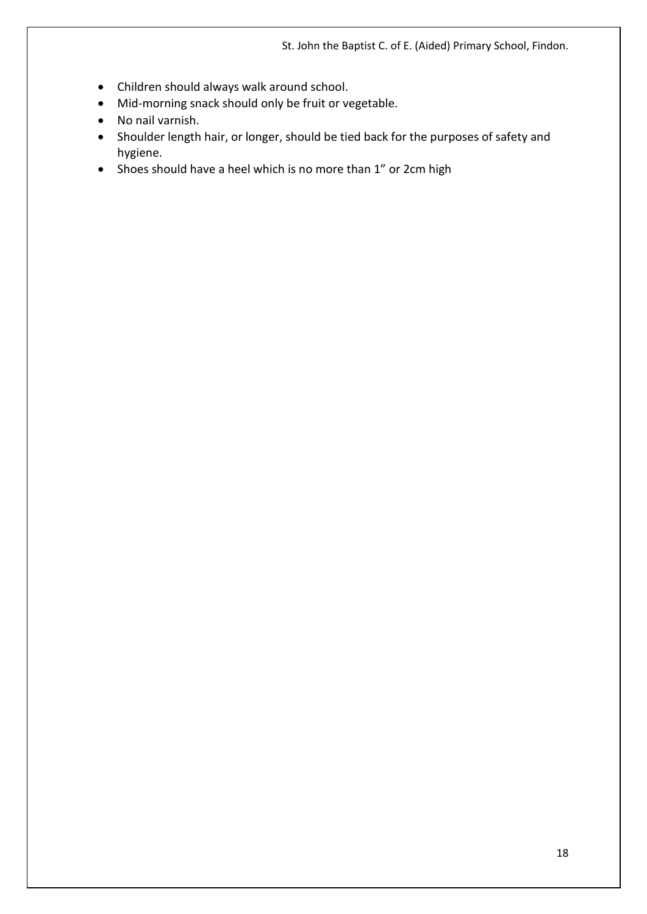St. John the Baptist C. of E. (Aided) Primary School, Findon.

- Children should always walk around school.
- Mid-morning snack should only be fruit or vegetable.
- No nail varnish.
- Shoulder length hair, or longer, should be tied back for the purposes of safety and hygiene.
- Shoes should have a heel which is no more than 1" or 2cm high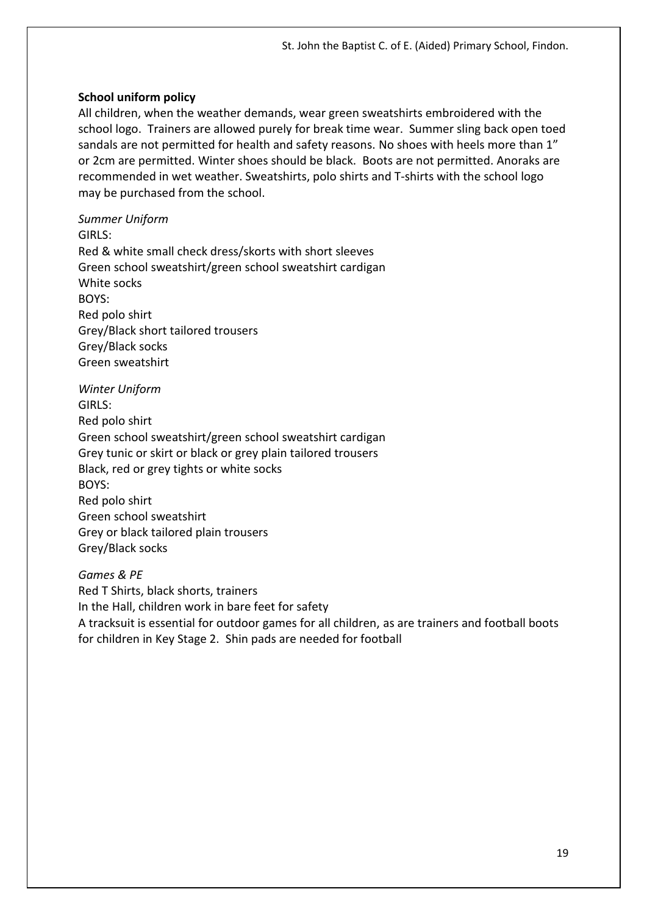#### **School uniform policy**

All children, when the weather demands, wear green sweatshirts embroidered with the school logo. Trainers are allowed purely for break time wear. Summer sling back open toed sandals are not permitted for health and safety reasons. No shoes with heels more than 1" or 2cm are permitted. Winter shoes should be black. Boots are not permitted. Anoraks are recommended in wet weather. Sweatshirts, polo shirts and T-shirts with the school logo may be purchased from the school.

*Summer Uniform*

GIRLS: Red & white small check dress/skorts with short sleeves Green school sweatshirt/green school sweatshirt cardigan White socks BOYS: Red polo shirt Grey/Black short tailored trousers Grey/Black socks Green sweatshirt

*Winter Uniform* GIRLS: Red polo shirt Green school sweatshirt/green school sweatshirt cardigan Grey tunic or skirt or black or grey plain tailored trousers Black, red or grey tights or white socks BOYS: Red polo shirt Green school sweatshirt Grey or black tailored plain trousers Grey/Black socks

## *Games & PE*

Red T Shirts, black shorts, trainers In the Hall, children work in bare feet for safety A tracksuit is essential for outdoor games for all children, as are trainers and football boots for children in Key Stage 2. Shin pads are needed for football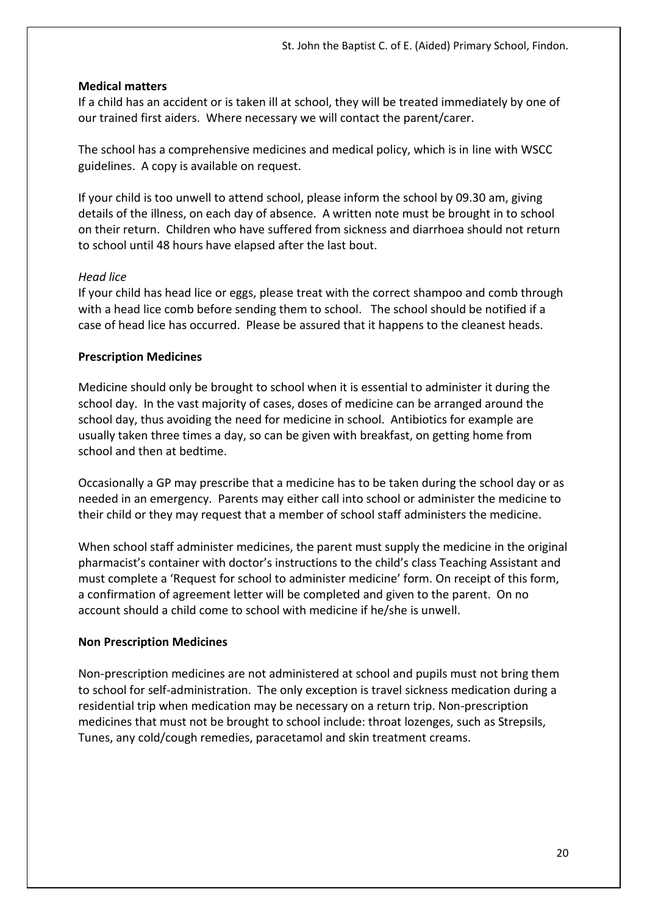#### **Medical matters**

If a child has an accident or is taken ill at school, they will be treated immediately by one of our trained first aiders. Where necessary we will contact the parent/carer.

The school has a comprehensive medicines and medical policy, which is in line with WSCC guidelines. A copy is available on request.

If your child is too unwell to attend school, please inform the school by 09.30 am, giving details of the illness, on each day of absence. A written note must be brought in to school on their return. Children who have suffered from sickness and diarrhoea should not return to school until 48 hours have elapsed after the last bout.

#### *Head lice*

If your child has head lice or eggs, please treat with the correct shampoo and comb through with a head lice comb before sending them to school. The school should be notified if a case of head lice has occurred. Please be assured that it happens to the cleanest heads.

#### **Prescription Medicines**

Medicine should only be brought to school when it is essential to administer it during the school day. In the vast majority of cases, doses of medicine can be arranged around the school day, thus avoiding the need for medicine in school. Antibiotics for example are usually taken three times a day, so can be given with breakfast, on getting home from school and then at bedtime.

Occasionally a GP may prescribe that a medicine has to be taken during the school day or as needed in an emergency. Parents may either call into school or administer the medicine to their child or they may request that a member of school staff administers the medicine.

When school staff administer medicines, the parent must supply the medicine in the original pharmacist's container with doctor's instructions to the child's class Teaching Assistant and must complete a 'Request for school to administer medicine' form. On receipt of this form, a confirmation of agreement letter will be completed and given to the parent. On no account should a child come to school with medicine if he/she is unwell.

## **Non Prescription Medicines**

Non-prescription medicines are not administered at school and pupils must not bring them to school for self-administration. The only exception is travel sickness medication during a residential trip when medication may be necessary on a return trip. Non-prescription medicines that must not be brought to school include: throat lozenges, such as Strepsils, Tunes, any cold/cough remedies, paracetamol and skin treatment creams.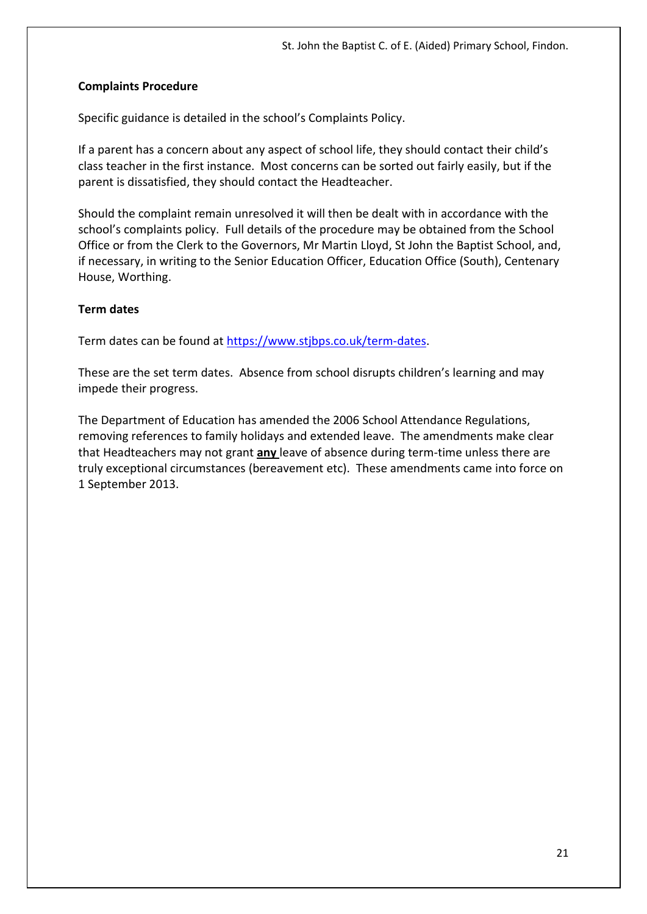#### **Complaints Procedure**

Specific guidance is detailed in the school's Complaints Policy.

If a parent has a concern about any aspect of school life, they should contact their child's class teacher in the first instance. Most concerns can be sorted out fairly easily, but if the parent is dissatisfied, they should contact the Headteacher.

Should the complaint remain unresolved it will then be dealt with in accordance with the school's complaints policy. Full details of the procedure may be obtained from the School Office or from the Clerk to the Governors, Mr Martin Lloyd, St John the Baptist School, and, if necessary, in writing to the Senior Education Officer, Education Office (South), Centenary House, Worthing.

#### **Term dates**

Term dates can be found at [https://www.stjbps.co.uk/term-dates.](https://www.stjbps.co.uk/term-dates)

These are the set term dates. Absence from school disrupts children's learning and may impede their progress.

The Department of Education has amended the 2006 School Attendance Regulations, removing references to family holidays and extended leave. The amendments make clear that Headteachers may not grant **any** leave of absence during term-time unless there are truly exceptional circumstances (bereavement etc). These amendments came into force on 1 September 2013.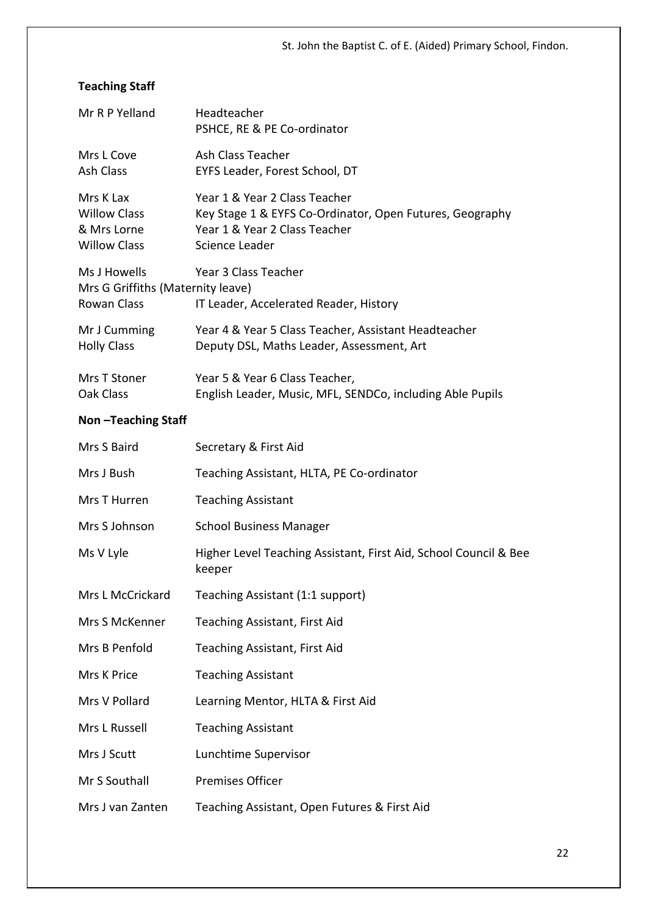# **Teaching Staff**

| Mr R P Yelland                                                         | Headteacher<br>PSHCE, RE & PE Co-ordinator                                                                                                   |
|------------------------------------------------------------------------|----------------------------------------------------------------------------------------------------------------------------------------------|
| Mrs L Cove<br><b>Ash Class</b>                                         | Ash Class Teacher<br>EYFS Leader, Forest School, DT                                                                                          |
| Mrs K Lax<br><b>Willow Class</b><br>& Mrs Lorne<br><b>Willow Class</b> | Year 1 & Year 2 Class Teacher<br>Key Stage 1 & EYFS Co-Ordinator, Open Futures, Geography<br>Year 1 & Year 2 Class Teacher<br>Science Leader |
| Ms J Howells<br>Mrs G Griffiths (Maternity leave)<br>Rowan Class       | Year 3 Class Teacher<br>IT Leader, Accelerated Reader, History                                                                               |
| Mr J Cumming<br><b>Holly Class</b>                                     | Year 4 & Year 5 Class Teacher, Assistant Headteacher<br>Deputy DSL, Maths Leader, Assessment, Art                                            |
| Mrs T Stoner<br>Oak Class                                              | Year 5 & Year 6 Class Teacher,<br>English Leader, Music, MFL, SENDCo, including Able Pupils                                                  |
| Non-Teaching Staff                                                     |                                                                                                                                              |
| Mrs S Baird                                                            | Secretary & First Aid                                                                                                                        |
| Mrs J Bush                                                             | Teaching Assistant, HLTA, PE Co-ordinator                                                                                                    |
| Mrs T Hurren                                                           | <b>Teaching Assistant</b>                                                                                                                    |
| Mrs S Johnson                                                          | <b>School Business Manager</b>                                                                                                               |
| Ms V Lyle                                                              | Higher Level Teaching Assistant, First Aid, School Council & Bee<br>keeper                                                                   |
| Mrs L McCrickard                                                       | Teaching Assistant (1:1 support)                                                                                                             |
| Mrs S McKenner                                                         | Teaching Assistant, First Aid                                                                                                                |
| Mrs B Penfold                                                          | Teaching Assistant, First Aid                                                                                                                |
| Mrs K Price                                                            | <b>Teaching Assistant</b>                                                                                                                    |
| Mrs V Pollard                                                          | Learning Mentor, HLTA & First Aid                                                                                                            |
| Mrs L Russell                                                          | <b>Teaching Assistant</b>                                                                                                                    |
| Mrs J Scutt                                                            | Lunchtime Supervisor                                                                                                                         |
| Mr S Southall                                                          | <b>Premises Officer</b>                                                                                                                      |

Mrs J van Zanten Teaching Assistant, Open Futures & First Aid